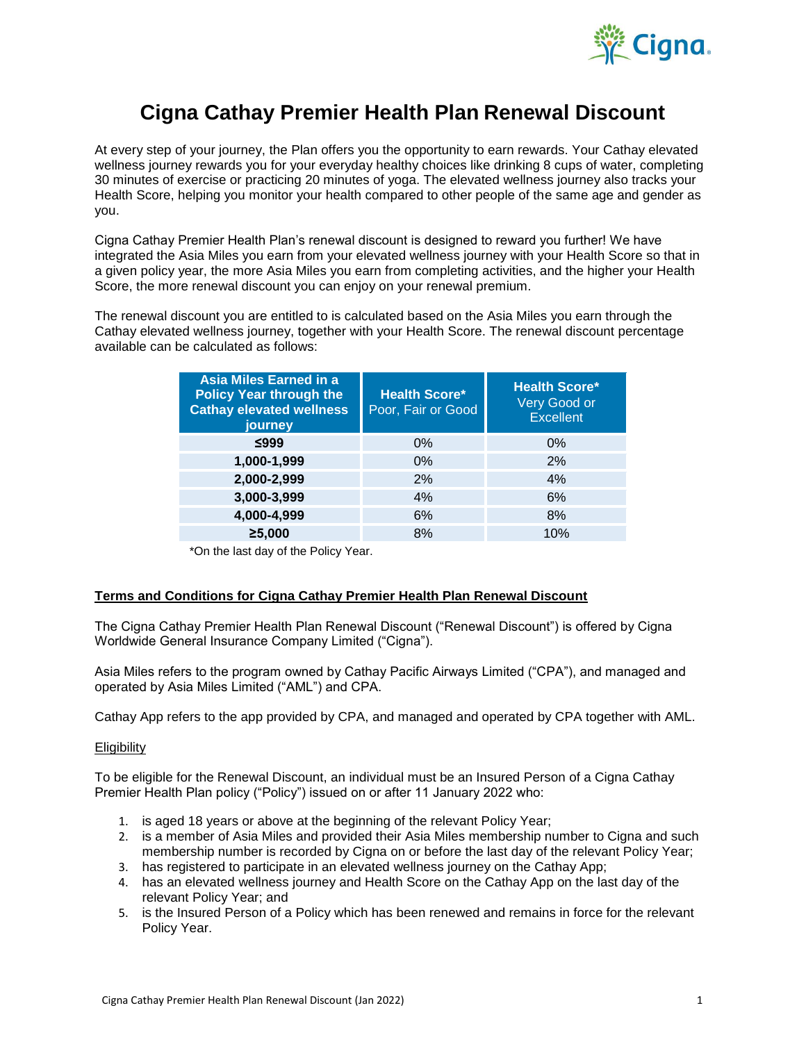

# **Cigna Cathay Premier Health Plan Renewal Discount**

At every step of your journey, the Plan offers you the opportunity to earn rewards. Your Cathay elevated wellness journey rewards you for your everyday healthy choices like drinking 8 cups of water, completing 30 minutes of exercise or practicing 20 minutes of yoga. The elevated wellness journey also tracks your Health Score, helping you monitor your health compared to other people of the same age and gender as you.

Cigna Cathay Premier Health Plan's renewal discount is designed to reward you further! We have integrated the Asia Miles you earn from your elevated wellness journey with your Health Score so that in a given policy year, the more Asia Miles you earn from completing activities, and the higher your Health Score, the more renewal discount you can enjoy on your renewal premium.

The renewal discount you are entitled to is calculated based on the Asia Miles you earn through the Cathay elevated wellness journey, together with your Health Score. The renewal discount percentage available can be calculated as follows:

| Asia Miles Earned in a<br><b>Policy Year through the</b><br><b>Cathay elevated wellness</b><br>journey | <b>Health Score*</b><br>Poor, Fair or Good | <b>Health Score*</b><br>Very Good or<br><b>Excellent</b> |  |
|--------------------------------------------------------------------------------------------------------|--------------------------------------------|----------------------------------------------------------|--|
| ≤999                                                                                                   | 0%                                         | $0\%$                                                    |  |
| 1,000-1,999                                                                                            | $0\%$                                      | 2%                                                       |  |
| 2,000-2,999                                                                                            | 2%                                         | 4%                                                       |  |
| 3,000-3,999                                                                                            | 4%                                         | 6%                                                       |  |
| 4,000-4,999                                                                                            | 6%                                         | 8%                                                       |  |
| ≥5,000                                                                                                 | 8%                                         | 10%                                                      |  |

\*On the last day of the Policy Year.

## **Terms and Conditions for Cigna Cathay Premier Health Plan Renewal Discount**

The Cigna Cathay Premier Health Plan Renewal Discount ("Renewal Discount") is offered by Cigna Worldwide General Insurance Company Limited ("Cigna").

Asia Miles refers to the program owned by Cathay Pacific Airways Limited ("CPA"), and managed and operated by Asia Miles Limited ("AML") and CPA.

Cathay App refers to the app provided by CPA, and managed and operated by CPA together with AML.

## **Eligibility**

To be eligible for the Renewal Discount, an individual must be an Insured Person of a Cigna Cathay Premier Health Plan policy ("Policy") issued on or after 11 January 2022 who:

- 1. is aged 18 years or above at the beginning of the relevant Policy Year;
- 2. is a member of Asia Miles and provided their Asia Miles membership number to Cigna and such membership number is recorded by Cigna on or before the last day of the relevant Policy Year;
- 3. has registered to participate in an elevated wellness journey on the Cathay App;
- 4. has an elevated wellness journey and Health Score on the Cathay App on the last day of the relevant Policy Year; and
- 5. is the Insured Person of a Policy which has been renewed and remains in force for the relevant Policy Year.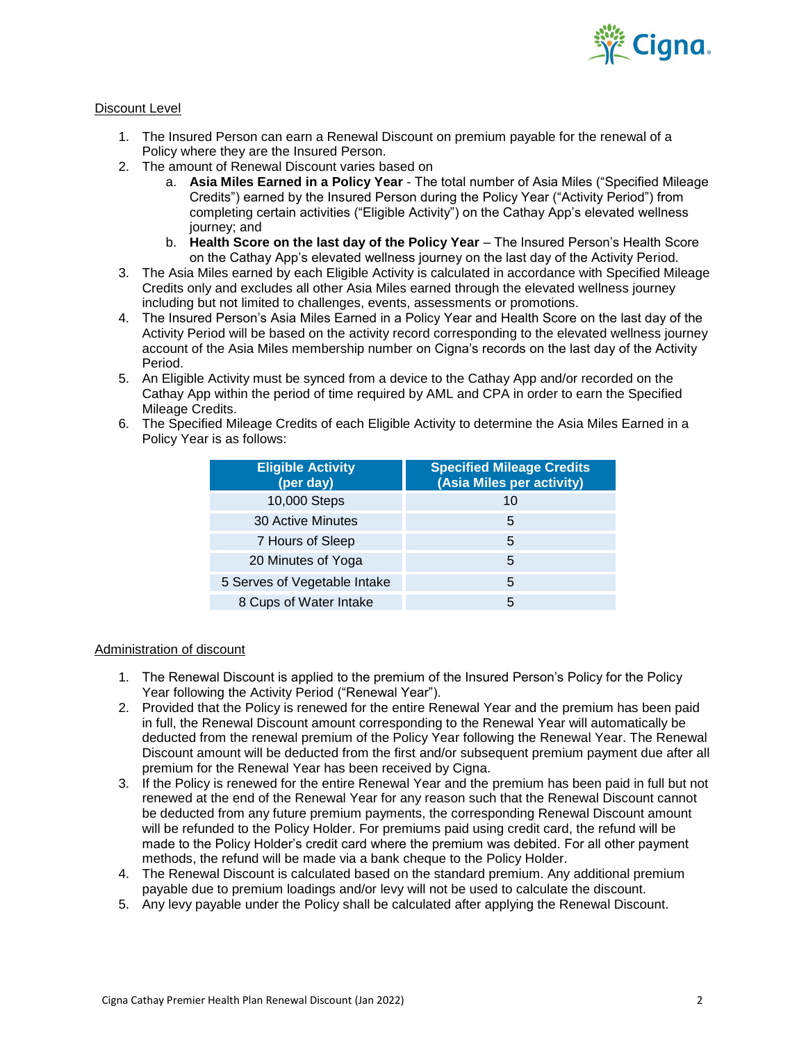

## Discount Level

- 1. The Insured Person can earn a Renewal Discount on premium payable for the renewal of a Policy where they are the Insured Person.
- 2. The amount of Renewal Discount varies based on
	- a. **Asia Miles Earned in a Policy Year**  The total number of Asia Miles ("Specified Mileage Credits") earned by the Insured Person during the Policy Year ("Activity Period") from completing certain activities ("Eligible Activity") on the Cathay App's elevated wellness journey; and
	- b. **Health Score on the last day of the Policy Year** The Insured Person's Health Score on the Cathay App's elevated wellness journey on the last day of the Activity Period.
- 3. The Asia Miles earned by each Eligible Activity is calculated in accordance with Specified Mileage Credits only and excludes all other Asia Miles earned through the elevated wellness journey including but not limited to challenges, events, assessments or promotions.
- 4. The Insured Person's Asia Miles Earned in a Policy Year and Health Score on the last day of the Activity Period will be based on the activity record corresponding to the elevated wellness journey account of the Asia Miles membership number on Cigna's records on the last day of the Activity Period.
- 5. An Eligible Activity must be synced from a device to the Cathay App and/or recorded on the Cathay App within the period of time required by AML and CPA in order to earn the Specified Mileage Credits.
- 6. The Specified Mileage Credits of each Eligible Activity to determine the Asia Miles Earned in a Policy Year is as follows:

| <b>Eligible Activity</b><br>(per day) | <b>Specified Mileage Credits</b><br>(Asia Miles per activity) |
|---------------------------------------|---------------------------------------------------------------|
| 10,000 Steps                          | 10                                                            |
| <b>30 Active Minutes</b>              | 5                                                             |
| 7 Hours of Sleep                      | 5                                                             |
| 20 Minutes of Yoga                    | 5                                                             |
| 5 Serves of Vegetable Intake          | 5                                                             |
| 8 Cups of Water Intake                | 5                                                             |

## Administration of discount

- 1. The Renewal Discount is applied to the premium of the Insured Person's Policy for the Policy Year following the Activity Period ("Renewal Year").
- 2. Provided that the Policy is renewed for the entire Renewal Year and the premium has been paid in full, the Renewal Discount amount corresponding to the Renewal Year will automatically be deducted from the renewal premium of the Policy Year following the Renewal Year. The Renewal Discount amount will be deducted from the first and/or subsequent premium payment due after all premium for the Renewal Year has been received by Cigna.
- 3. If the Policy is renewed for the entire Renewal Year and the premium has been paid in full but not renewed at the end of the Renewal Year for any reason such that the Renewal Discount cannot be deducted from any future premium payments, the corresponding Renewal Discount amount will be refunded to the Policy Holder. For premiums paid using credit card, the refund will be made to the Policy Holder's credit card where the premium was debited. For all other payment methods, the refund will be made via a bank cheque to the Policy Holder.
- 4. The Renewal Discount is calculated based on the standard premium. Any additional premium payable due to premium loadings and/or levy will not be used to calculate the discount.
- 5. Any levy payable under the Policy shall be calculated after applying the Renewal Discount.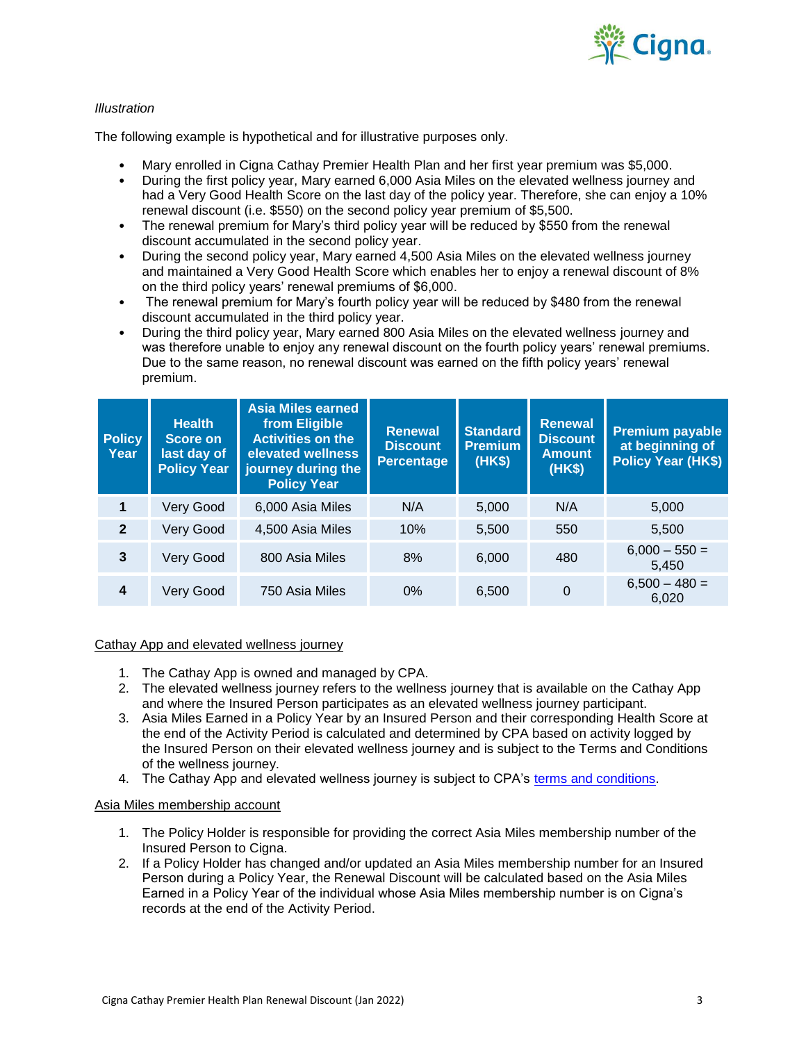

## *Illustration*

The following example is hypothetical and for illustrative purposes only.

- Mary enrolled in Cigna Cathay Premier Health Plan and her first year premium was \$5,000.
- During the first policy year, Mary earned 6,000 Asia Miles on the elevated wellness journey and had a Very Good Health Score on the last day of the policy year. Therefore, she can enjoy a 10% renewal discount (i.e. \$550) on the second policy year premium of \$5,500.
- The renewal premium for Mary's third policy year will be reduced by \$550 from the renewal discount accumulated in the second policy year.
- During the second policy year, Mary earned 4,500 Asia Miles on the elevated wellness journey and maintained a Very Good Health Score which enables her to enjoy a renewal discount of 8% on the third policy years' renewal premiums of \$6,000.
- The renewal premium for Mary's fourth policy year will be reduced by \$480 from the renewal discount accumulated in the third policy year.
- During the third policy year, Mary earned 800 Asia Miles on the elevated wellness journey and was therefore unable to enjoy any renewal discount on the fourth policy years' renewal premiums. Due to the same reason, no renewal discount was earned on the fifth policy years' renewal premium.

| <b>Policy</b><br>Year | <b>Health</b><br>Score on<br>last day of<br><b>Policy Year</b> | <b>Asia Miles earned</b><br>from Eligible<br><b>Activities on the</b><br>elevated wellness<br>journey during the<br><b>Policy Year</b> | Renewal<br><b>Discount</b><br><b>Percentage</b> | <b>Standard</b><br><b>Premium</b><br>(HK\$) | <b>Renewal</b><br><b>Discount</b><br><b>Amount</b><br>(HK\$) | <b>Premium payable</b><br>at beginning of<br><b>Policy Year (HK\$)</b> |
|-----------------------|----------------------------------------------------------------|----------------------------------------------------------------------------------------------------------------------------------------|-------------------------------------------------|---------------------------------------------|--------------------------------------------------------------|------------------------------------------------------------------------|
| 1                     | Very Good                                                      | 6,000 Asia Miles                                                                                                                       | N/A                                             | 5,000                                       | N/A                                                          | 5,000                                                                  |
| $\overline{2}$        | Very Good                                                      | 4,500 Asia Miles                                                                                                                       | 10%                                             | 5,500                                       | 550                                                          | 5,500                                                                  |
| 3                     | Very Good                                                      | 800 Asia Miles                                                                                                                         | 8%                                              | 6,000                                       | 480                                                          | $6,000 - 550 =$<br>5,450                                               |
| 4                     | Very Good                                                      | 750 Asia Miles                                                                                                                         | $0\%$                                           | 6,500                                       | $\overline{0}$                                               | $6,500 - 480 =$<br>6,020                                               |

## Cathay App and elevated wellness journey

- 1. The Cathay App is owned and managed by CPA.
- 2. The elevated wellness journey refers to the wellness journey that is available on the Cathay App and where the Insured Person participates as an elevated wellness journey participant.
- 3. Asia Miles Earned in a Policy Year by an Insured Person and their corresponding Health Score at the end of the Activity Period is calculated and determined by CPA based on activity logged by the Insured Person on their elevated wellness journey and is subject to the Terms and Conditions of the wellness journey.
- 4. The Cathay App and elevated wellness journey is subject to CPA's [terms and conditions.](https://www.asiamiles.com/en/terms-and-conditions/service/wellness-journey.html)

## Asia Miles membership account

- 1. The Policy Holder is responsible for providing the correct Asia Miles membership number of the Insured Person to Cigna.
- 2. If a Policy Holder has changed and/or updated an Asia Miles membership number for an Insured Person during a Policy Year, the Renewal Discount will be calculated based on the Asia Miles Earned in a Policy Year of the individual whose Asia Miles membership number is on Cigna's records at the end of the Activity Period.